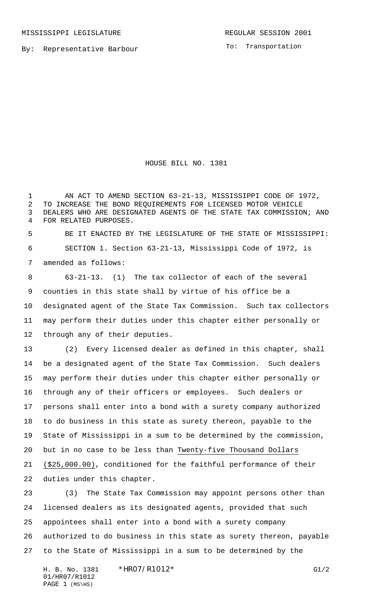MISSISSIPPI LEGISLATURE **REGULAR SESSION 2001** 

By: Representative Barbour

To: Transportation

HOUSE BILL NO. 1381

1 AN ACT TO AMEND SECTION 63-21-13, MISSISSIPPI CODE OF 1972, TO INCREASE THE BOND REQUIREMENTS FOR LICENSED MOTOR VEHICLE DEALERS WHO ARE DESIGNATED AGENTS OF THE STATE TAX COMMISSION; AND FOR RELATED PURPOSES.

 BE IT ENACTED BY THE LEGISLATURE OF THE STATE OF MISSISSIPPI: SECTION 1. Section 63-21-13, Mississippi Code of 1972, is amended as follows:

 63-21-13. (1) The tax collector of each of the several counties in this state shall by virtue of his office be a designated agent of the State Tax Commission. Such tax collectors may perform their duties under this chapter either personally or through any of their deputies.

 (2) Every licensed dealer as defined in this chapter, shall be a designated agent of the State Tax Commission. Such dealers may perform their duties under this chapter either personally or through any of their officers or employees. Such dealers or persons shall enter into a bond with a surety company authorized to do business in this state as surety thereon, payable to the State of Mississippi in a sum to be determined by the commission, but in no case to be less than Twenty-five Thousand Dollars (\$25,000.00), conditioned for the faithful performance of their duties under this chapter.

 (3) The State Tax Commission may appoint persons other than licensed dealers as its designated agents, provided that such appointees shall enter into a bond with a surety company authorized to do business in this state as surety thereon, payable to the State of Mississippi in a sum to be determined by the

H. B. No. 1381 \*HRO7/R1012\* G1/2 01/HR07/R1012 PAGE (MS\HS)